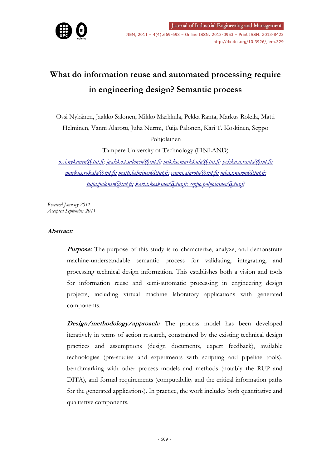

# **What do information reuse and automated processing require in engineering design? Semantic process**

Ossi Nykänen, Jaakko Salonen, Mikko Markkula, Pekka Ranta, Markus Rokala, Matti Helminen, Vänni Alarotu, Juha Nurmi, Tuija Palonen, Kari T. Koskinen, Seppo

Pohjolainen

Tampere University of Technology (FINLAND)

*[ossi.nykanen@tut.fi;](mailto:ossi.nykanen@tut.fi) [jaakko.t.salonen@tut.fi;](mailto:jaakko.t.salonen@tut.fi) [mikko.markkula@tut.fi;](mailto:mikko.markkula@tut.fi) [pekka.a.ranta@tut.fi;](mailto:pekka.a.ranta@tut.fi) [markus.rokala@tut.fi;](mailto:markus.rokala@tut.fi) [matti.helminen@tut.fi;](mailto:matti.helminen@tut.fi) [vanni.alarotu@tut.fi;](mailto:vanni.alarotu@tut.fi) [juha.t.nurmi@tut.fi;](mailto:juha.t.nurmi@tut.fi) [tuija.palonen@tut.fi;](mailto:tuija.palonen@tut.fi) [kari.t.koskinen@tut.fi;](mailto:kari.t.koskinen@tut.fi) [seppo.pohjolainen@tut.fi](mailto:seppo.pohjolainen@tut.fi)*

*Received January 2011 Accepted September 2011*

# **Abstract:**

*Purpose:* The purpose of this study is to characterize, analyze, and demonstrate machine-understandable semantic process for validating, integrating, and processing technical design information. This establishes both a vision and tools for information reuse and semi-automatic processing in engineering design projects, including virtual machine laboratory applications with generated components.

**Design/methodology/approach:** The process model has been developed iteratively in terms of action research, constrained by the existing technical design practices and assumptions (design documents, expert feedback), available technologies (pre-studies and experiments with scripting and pipeline tools), benchmarking with other process models and methods (notably the RUP and DITA), and formal requirements (computability and the critical information paths for the generated applications). In practice, the work includes both quantitative and qualitative components.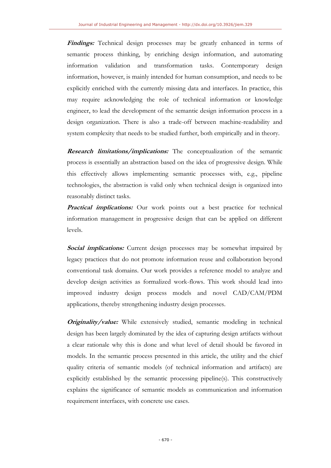**Findings:** Technical design processes may be greatly enhanced in terms of semantic process thinking, by enriching design information, and automating information validation and transformation tasks. Contemporary design information, however, is mainly intended for human consumption, and needs to be explicitly enriched with the currently missing data and interfaces. In practice, this may require acknowledging the role of technical information or knowledge engineer, to lead the development of the semantic design information process in a design organization. There is also a trade-off between machine-readability and system complexity that needs to be studied further, both empirically and in theory.

**Research limitations/implications:** The conceptualization of the semantic process is essentially an abstraction based on the idea of progressive design. While this effectively allows implementing semantic processes with, e.g., pipeline technologies, the abstraction is valid only when technical design is organized into reasonably distinct tasks.

**Practical implications:** Our work points out a best practice for technical information management in progressive design that can be applied on different levels.

**Social implications:** Current design processes may be somewhat impaired by legacy practices that do not promote information reuse and collaboration beyond conventional task domains. Our work provides a reference model to analyze and develop design activities as formalized work-flows. This work should lead into improved industry design process models and novel CAD/CAM/PDM applications, thereby strengthening industry design processes.

**Originality/value:** While extensively studied, semantic modeling in technical design has been largely dominated by the idea of capturing design artifacts without a clear rationale why this is done and what level of detail should be favored in models. In the semantic process presented in this article, the utility and the chief quality criteria of semantic models (of technical information and artifacts) are explicitly established by the semantic processing pipeline(s). This constructively explains the significance of semantic models as communication and information requirement interfaces, with concrete use cases.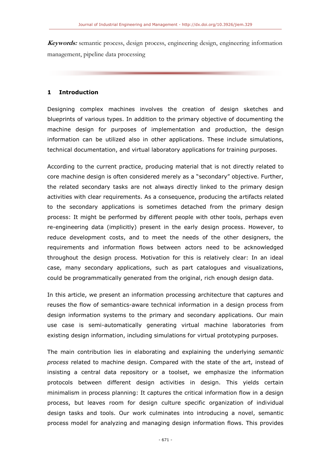**Keywords:** semantic process, design process, engineering design, engineering information management, pipeline data processing

# **1 Introduction**

Designing complex machines involves the creation of design sketches and blueprints of various types. In addition to the primary objective of documenting the machine design for purposes of implementation and production, the design information can be utilized also in other applications. These include simulations, technical documentation, and virtual laboratory applications for training purposes.

According to the current practice, producing material that is not directly related to core machine design is often considered merely as a "secondary" objective. Further, the related secondary tasks are not always directly linked to the primary design activities with clear requirements. As a consequence, producing the artifacts related to the secondary applications is sometimes detached from the primary design process: It might be performed by different people with other tools, perhaps even re-engineering data (implicitly) present in the early design process. However, to reduce development costs, and to meet the needs of the other designers, the requirements and information flows between actors need to be acknowledged throughout the design process. Motivation for this is relatively clear: In an ideal case, many secondary applications, such as part catalogues and visualizations, could be programmatically generated from the original, rich enough design data.

In this article, we present an information processing architecture that captures and reuses the flow of semantics-aware technical information in a design process from design information systems to the primary and secondary applications. Our main use case is semi-automatically generating virtual machine laboratories from existing design information, including simulations for virtual prototyping purposes.

The main contribution lies in elaborating and explaining the underlying *semantic process* related to machine design. Compared with the state of the art, instead of insisting a central data repository or a toolset, we emphasize the information protocols between different design activities in design. This yields certain minimalism in process planning: It captures the critical information flow in a design process, but leaves room for design culture specific organization of individual design tasks and tools. Our work culminates into introducing a novel, semantic process model for analyzing and managing design information flows. This provides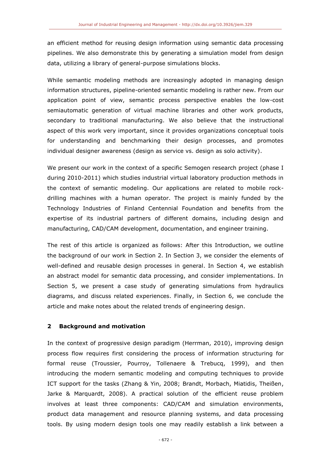an efficient method for reusing design information using semantic data processing pipelines. We also demonstrate this by generating a simulation model from design data, utilizing a library of general-purpose simulations blocks.

While semantic modeling methods are increasingly adopted in managing design information structures, pipeline-oriented semantic modeling is rather new. From our application point of view, semantic process perspective enables the low-cost semiautomatic generation of virtual machine libraries and other work products, secondary to traditional manufacturing. We also believe that the instructional aspect of this work very important, since it provides organizations conceptual tools for understanding and benchmarking their design processes, and promotes individual designer awareness (design as service vs. design as solo activity).

We present our work in the context of a specific Semogen research project (phase I during 2010-2011) which studies industrial virtual laboratory production methods in the context of semantic modeling. Our applications are related to mobile rockdrilling machines with a human operator. The project is mainly funded by the Technology Industries of Finland Centennial Foundation and benefits from the expertise of its industrial partners of different domains, including design and manufacturing, CAD/CAM development, documentation, and engineer training.

The rest of this article is organized as follows: After this Introduction, we outline the background of our work in Section 2. In Section 3, we consider the elements of well-defined and reusable design processes in general. In Section 4, we establish an abstract model for semantic data processing, and consider implementations. In Section 5, we present a case study of generating simulations from hydraulics diagrams, and discuss related experiences. Finally, in Section 6, we conclude the article and make notes about the related trends of engineering design.

# **2 Background and motivation**

In the context of progressive design paradigm (Herrman, 2010), improving design process flow requires first considering the process of information structuring for formal reuse (Troussier, Pourroy, Tollenaere & Trebucq, 1999), and then introducing the modern semantic modeling and computing techniques to provide ICT support for the tasks (Zhang & Yin, 2008; Brandt, Morbach, Miatidis, Theißen, Jarke & Marquardt, 2008). A practical solution of the efficient reuse problem involves at least three components: CAD/CAM and simulation environments, product data management and resource planning systems, and data processing tools. By using modern design tools one may readily establish a link between a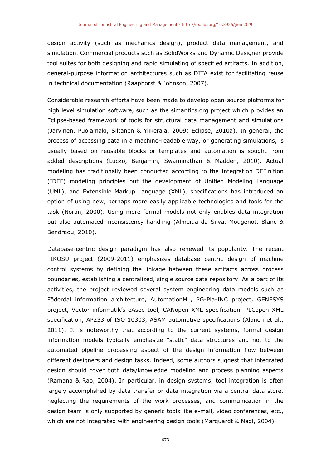design activity (such as mechanics design), product data management, and simulation. Commercial products such as SolidWorks and Dynamic Designer provide tool suites for both designing and rapid simulating of specified artifacts. In addition, general-purpose information architectures such as DITA exist for facilitating reuse in technical documentation (Raaphorst & Johnson, 2007).

Considerable research efforts have been made to develop open-source platforms for high level simulation software, such as the simantics.org project which provides an Eclipse-based framework of tools for structural data management and simulations (Järvinen, Puolamäki, Siltanen & Ylikerälä, 2009; Eclipse, 2010a). In general, the process of accessing data in a machine-readable way, or generating simulations, is usually based on reusable blocks or templates and automation is sought from added descriptions (Lucko, Benjamin, Swaminathan & Madden, 2010). Actual modeling has traditionally been conducted according to the Integration DEFinition (IDEF) modeling principles but the development of Unified Modeling Language (UML), and Extensible Markup Language (XML), specifications has introduced an option of using new, perhaps more easily applicable technologies and tools for the task (Noran, 2000). Using more formal models not only enables data integration but also automated inconsistency handling (Almeida da Silva, Mougenot, Blanc & Bendraou, 2010).

Database-centric design paradigm has also renewed its popularity. The recent TIKOSU project (2009-2011) emphasizes database centric design of machine control systems by defining the linkage between these artifacts across process boundaries, establishing a centralized, single source data repository. As a part of its activities, the project reviewed several system engineering data models such as Föderdal information architecture, AutomationML, PG-Pla-INC project, GENESYS project, Vector informatik's eAsee tool, CANopen XML specification, PLCopen XML specification, AP233 of ISO 10303, ASAM automotive specifications (Alanen et al., 2011). It is noteworthy that according to the current systems, formal design information models typically emphasize "static" data structures and not to the automated pipeline processing aspect of the design information flow between different designers and design tasks. Indeed, some authors suggest that integrated design should cover both data/knowledge modeling and process planning aspects (Ramana & Rao, 2004). In particular, in design systems, tool integration is often largely accomplished by data transfer or data integration via a central data store, neglecting the requirements of the work processes, and communication in the design team is only supported by generic tools like e-mail, video conferences, etc., which are not integrated with engineering design tools (Marquardt & Nagl, 2004).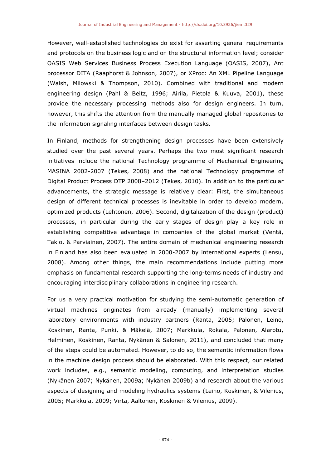However, well-established technologies do exist for asserting general requirements and protocols on the business logic and on the structural information level; consider OASIS Web Services Business Process Execution Language (OASIS, 2007), Ant processor DITA (Raaphorst & Johnson, 2007), or XProc: An XML Pipeline Language (Walsh, Milowski & Thompson, 2010). Combined with traditional and modern engineering design (Pahl & Beitz, 1996; Airila, Pietola & Kuuva, 2001), these provide the necessary processing methods also for design engineers. In turn, however, this shifts the attention from the manually managed global repositories to the information signaling interfaces between design tasks.

In Finland, methods for strengthening design processes have been extensively studied over the past several years. Perhaps the two most significant research initiatives include the national Technology programme of Mechanical Engineering MASINA 2002-2007 (Tekes, 2008) and the national Technology programme of Digital Product Process DTP 2008–2012 (Tekes, 2010). In addition to the particular advancements, the strategic message is relatively clear: First, the simultaneous design of different technical processes is inevitable in order to develop modern, optimized products (Lehtonen, 2006). Second, digitalization of the design (product) processes, in particular during the early stages of design play a key role in establishing competitive advantage in companies of the global market (Ventä, Taklo, & Parviainen, 2007). The entire domain of mechanical engineering research in Finland has also been evaluated in 2000-2007 by international experts (Lensu, 2008). Among other things, the main recommendations include putting more emphasis on fundamental research supporting the long-terms needs of industry and encouraging interdisciplinary collaborations in engineering research.

For us a very practical motivation for studying the semi-automatic generation of virtual machines originates from already (manually) implementing several laboratory environments with industry partners (Ranta, 2005; Palonen, Leino, Koskinen, Ranta, Punki, & Mäkelä, 2007; Markkula, Rokala, Palonen, Alarotu, Helminen, Koskinen, Ranta, Nykänen & Salonen, 2011), and concluded that many of the steps could be automated. However, to do so, the semantic information flows in the machine design process should be elaborated. With this respect, our related work includes, e.g., semantic modeling, computing, and interpretation studies (Nykänen 2007; Nykänen, 2009a; Nykänen 2009b) and research about the various aspects of designing and modeling hydraulics systems (Leino, Koskinen, & Vilenius, 2005; Markkula, 2009; Virta, Aaltonen, Koskinen & Vilenius, 2009).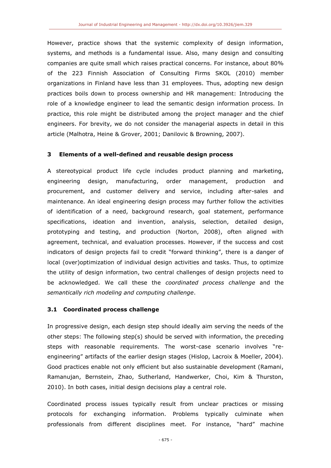However, practice shows that the systemic complexity of design information, systems, and methods is a fundamental issue. Also, many design and consulting companies are quite small which raises practical concerns. For instance, about 80% of the 223 Finnish Association of Consulting Firms SKOL (2010) member organizations in Finland have less than 31 employees. Thus, adopting new design practices boils down to process ownership and HR management: Introducing the role of a knowledge engineer to lead the semantic design information process. In practice, this role might be distributed among the project manager and the chief engineers. For brevity, we do not consider the managerial aspects in detail in this article (Malhotra, Heine & Grover, 2001; Danilovic & Browning, 2007).

#### **3 Elements of a well-defined and reusable design process**

A stereotypical product life cycle includes product planning and marketing, engineering design, manufacturing, order management, production and procurement, and customer delivery and service, including after-sales and maintenance. An ideal engineering design process may further follow the activities of identification of a need, background research, goal statement, performance specifications, ideation and invention, analysis, selection, detailed design, prototyping and testing, and production (Norton, 2008), often aligned with agreement, technical, and evaluation processes. However, if the success and cost indicators of design projects fail to credit "forward thinking", there is a danger of local (over)optimization of individual design activities and tasks. Thus, to optimize the utility of design information, two central challenges of design projects need to be acknowledged. We call these the *coordinated process challenge* and the *semantically rich modeling and computing challenge*.

#### **3.1 Coordinated process challenge**

In progressive design, each design step should ideally aim serving the needs of the other steps: The following step(s) should be served with information, the preceding steps with reasonable requirements. The worst-case scenario involves "reengineering" artifacts of the earlier design stages (Hislop, Lacroix & Moeller, 2004). Good practices enable not only efficient but also sustainable development (Ramani, Ramanujan, Bernstein, Zhao, Sutherland, Handwerker, Choi, Kim & Thurston, 2010). In both cases, initial design decisions play a central role.

Coordinated process issues typically result from unclear practices or missing protocols for exchanging information. Problems typically culminate when professionals from different disciplines meet. For instance, "hard" machine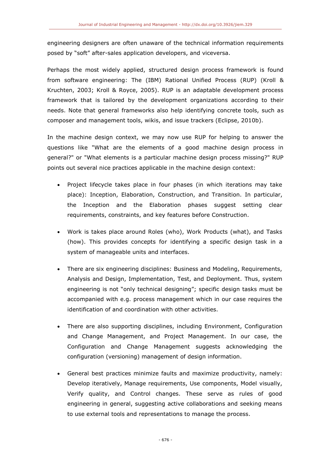engineering designers are often unaware of the technical information requirements posed by "soft" after-sales application developers, and viceversa.

Perhaps the most widely applied, structured design process framework is found from software engineering: The (IBM) Rational Unified Process (RUP) (Kroll & Kruchten, 2003; Kroll & Royce, 2005). RUP is an adaptable development process framework that is tailored by the development organizations according to their needs. Note that general frameworks also help identifying concrete tools, such as composer and management tools, wikis, and issue trackers (Eclipse, 2010b).

In the machine design context, we may now use RUP for helping to answer the questions like "What are the elements of a good machine design process in general?" or "What elements is a particular machine design process missing?" RUP points out several nice practices applicable in the machine design context:

- Project lifecycle takes place in four phases (in which iterations may take place): Inception, Elaboration, Construction, and Transition. In particular, the Inception and the Elaboration phases suggest setting clear requirements, constraints, and key features before Construction.
- Work is takes place around Roles (who), Work Products (what), and Tasks (how). This provides concepts for identifying a specific design task in a system of manageable units and interfaces.
- There are six engineering disciplines: Business and Modeling, Requirements, Analysis and Design, Implementation, Test, and Deployment. Thus, system engineering is not "only technical designing"; specific design tasks must be accompanied with e.g. process management which in our case requires the identification of and coordination with other activities.
- There are also supporting disciplines, including Environment, Configuration and Change Management, and Project Management. In our case, the Configuration and Change Management suggests acknowledging the configuration (versioning) management of design information.
- General best practices minimize faults and maximize productivity, namely: Develop iteratively, Manage requirements, Use components, Model visually, Verify quality, and Control changes. These serve as rules of good engineering in general, suggesting active collaborations and seeking means to use external tools and representations to manage the process.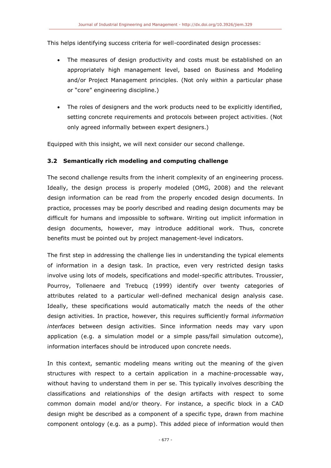This helps identifying success criteria for well-coordinated design processes:

- The measures of design productivity and costs must be established on an appropriately high management level, based on Business and Modeling and/or Project Management principles. (Not only within a particular phase or "core" engineering discipline.)
- The roles of designers and the work products need to be explicitly identified, setting concrete requirements and protocols between project activities. (Not only agreed informally between expert designers.)

Equipped with this insight, we will next consider our second challenge.

# **3.2 Semantically rich modeling and computing challenge**

The second challenge results from the inherit complexity of an engineering process. Ideally, the design process is properly modeled (OMG, 2008) and the relevant design information can be read from the properly encoded design documents. In practice, processes may be poorly described and reading design documents may be difficult for humans and impossible to software. Writing out implicit information in design documents, however, may introduce additional work. Thus, concrete benefits must be pointed out by project management-level indicators.

The first step in addressing the challenge lies in understanding the typical elements of information in a design task. In practice, even very restricted design tasks involve using lots of models, specifications and model-specific attributes. Troussier, Pourroy, Tollenaere and Trebucq (1999) identify over twenty categories of attributes related to a particular well-defined mechanical design analysis case. Ideally, these specifications would automatically match the needs of the other design activities. In practice, however, this requires sufficiently formal *information interfaces* between design activities. Since information needs may vary upon application (e.g. a simulation model or a simple pass/fail simulation outcome), information interfaces should be introduced upon concrete needs.

In this context, semantic modeling means writing out the meaning of the given structures with respect to a certain application in a machine-processable way, without having to understand them in per se. This typically involves describing the classifications and relationships of the design artifacts with respect to some common domain model and/or theory. For instance, a specific block in a CAD design might be described as a component of a specific type, drawn from machine component ontology (e.g. as a pump). This added piece of information would then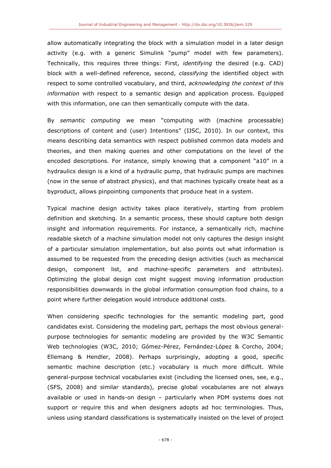allow automatically integrating the block with a simulation model in a later design activity (e.g. with a generic Simulink "pump" model with few parameters). Technically, this requires three things: First, *identifying* the desired (e.g. CAD) block with a well-defined reference, second, *classifying* the identified object with respect to some controlled vocabulary, and third, *acknowledging the context of this information* with respect to a semantic design and application process. Equipped with this information, one can then semantically compute with the data.

By *semantic computing* we mean "computing with (machine processable) descriptions of content and (user) Intentions" (IJSC, 2010). In our context, this means describing data semantics with respect published common data models and theories, and then making queries and other computations on the level of the encoded descriptions. For instance, simply knowing that a component "a10" in a hydraulics design is a kind of a hydraulic pump, that hydraulic pumps are machines (now in the sense of abstract physics), and that machines typically create heat as a byproduct, allows pinpointing components that produce heat in a system.

Typical machine design activity takes place iteratively, starting from problem definition and sketching. In a semantic process, these should capture both design insight and information requirements. For instance, a semantically rich, machine readable sketch of a machine simulation model not only captures the design insight of a particular simulation implementation, but also points out what information is assumed to be requested from the preceding design activities (such as mechanical design, component list, and machine-specific parameters and attributes). Optimizing the global design cost might suggest moving information production responsibilities downwards in the global information consumption food chains, to a point where further delegation would introduce additional costs.

When considering specific technologies for the semantic modeling part, good candidates exist. Considering the modeling part, perhaps the most obvious generalpurpose technologies for semantic modeling are provided by the W3C Semantic Web technologies (W3C, 2010; Gómez-Pérez, Fernández-López & Corcho, 2004; Ellemang & Hendler, 2008). Perhaps surprisingly, adopting a good, specific semantic machine description (etc.) vocabulary is much more difficult. While general-purpose technical vocabularies exist (including the licensed ones, see, e.g., (SFS, 2008) and similar standards), precise global vocabularies are not always available or used in hands-on design – particularly when PDM systems does not support or require this and when designers adopts ad hoc terminologies. Thus, unless using standard classifications is systematically insisted on the level of project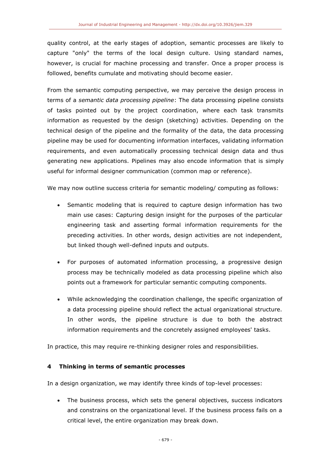quality control, at the early stages of adoption, semantic processes are likely to capture "only" the terms of the local design culture. Using standard names, however, is crucial for machine processing and transfer. Once a proper process is followed, benefits cumulate and motivating should become easier.

From the semantic computing perspective, we may perceive the design process in terms of a *semantic data processing pipeline*: The data processing pipeline consists of tasks pointed out by the project coordination, where each task transmits information as requested by the design (sketching) activities. Depending on the technical design of the pipeline and the formality of the data, the data processing pipeline may be used for documenting information interfaces, validating information requirements, and even automatically processing technical design data and thus generating new applications. Pipelines may also encode information that is simply useful for informal designer communication (common map or reference).

We may now outline success criteria for semantic modeling/ computing as follows:

- Semantic modeling that is required to capture design information has two main use cases: Capturing design insight for the purposes of the particular engineering task and asserting formal information requirements for the preceding activities. In other words, design activities are not independent, but linked though well-defined inputs and outputs.
- For purposes of automated information processing, a progressive design process may be technically modeled as data processing pipeline which also points out a framework for particular semantic computing components.
- While acknowledging the coordination challenge, the specific organization of a data processing pipeline should reflect the actual organizational structure. In other words, the pipeline structure is due to both the abstract information requirements and the concretely assigned employees' tasks.

In practice, this may require re-thinking designer roles and responsibilities.

# **4 Thinking in terms of semantic processes**

In a design organization, we may identify three kinds of top-level processes:

• The business process, which sets the general objectives, success indicators and constrains on the organizational level. If the business process fails on a critical level, the entire organization may break down.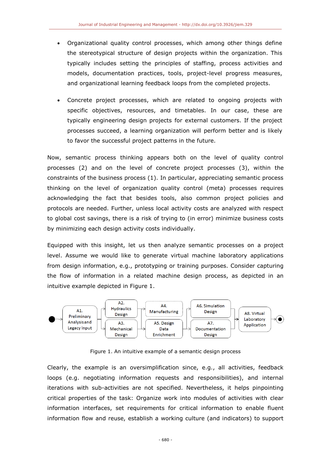- Organizational quality control processes, which among other things define the stereotypical structure of design projects within the organization. This typically includes setting the principles of staffing, process activities and models, documentation practices, tools, project-level progress measures, and organizational learning feedback loops from the completed projects.
- Concrete project processes, which are related to ongoing projects with specific objectives, resources, and timetables. In our case, these are typically engineering design projects for external customers. If the project processes succeed, a learning organization will perform better and is likely to favor the successful project patterns in the future.

Now, semantic process thinking appears both on the level of quality control processes (2) and on the level of concrete project processes (3), within the constraints of the business process (1). In particular, appreciating semantic process thinking on the level of organization quality control (meta) processes requires acknowledging the fact that besides tools, also common project policies and protocols are needed. Further, unless local activity costs are analyzed with respect to global cost savings, there is a risk of trying to (in error) minimize business costs by minimizing each design activity costs individually.

Equipped with this insight, let us then analyze semantic processes on a project level. Assume we would like to generate virtual machine laboratory applications from design information, e.g., prototyping or training purposes. Consider capturing the flow of information in a related machine design process, as depicted in an intuitive example depicted in Figure 1.



Figure 1. An intuitive example of a semantic design process

Clearly, the example is an oversimplification since, e.g., all activities, feedback loops (e.g. negotiating information requests and responsibilities), and internal iterations with sub-activities are not specified. Nevertheless, it helps pinpointing critical properties of the task: Organize work into modules of activities with clear information interfaces, set requirements for critical information to enable fluent information flow and reuse, establish a working culture (and indicators) to support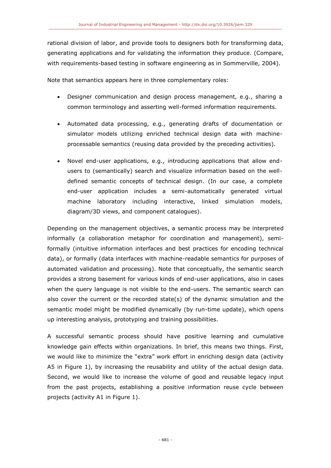rational division of labor, and provide tools to designers both for transforming data, generating applications and for validating the information they produce. (Compare, with requirements-based testing in software engineering as in Sommerville, 2004).

Note that semantics appears here in three complementary roles:

- Designer communication and design process management, e.g., sharing a common terminology and asserting well-formed information requirements.
- Automated data processing, e.g., generating drafts of documentation or simulator models utilizing enriched technical design data with machineprocessable semantics (reusing data provided by the preceding activities).
- Novel end-user applications, e.g., introducing applications that allow endusers to (semantically) search and visualize information based on the welldefined semantic concepts of technical design. (In our case, a complete end-user application includes a semi-automatically generated virtual machine laboratory including interactive, linked simulation models, diagram/3D views, and component catalogues).

Depending on the management objectives, a semantic process may be interpreted informally (a collaboration metaphor for coordination and management), semiformally (intuitive information interfaces and best practices for encoding technical data), or formally (data interfaces with machine-readable semantics for purposes of automated validation and processing). Note that conceptually, the semantic search provides a strong basement for various kinds of end-user applications, also in cases when the query language is not visible to the end-users. The semantic search can also cover the current or the recorded state(s) of the dynamic simulation and the semantic model might be modified dynamically (by run-time update), which opens up interesting analysis, prototyping and training possibilities.

A successful semantic process should have positive learning and cumulative knowledge gain effects within organizations. In brief, this means two things. First, we would like to minimize the "extra" work effort in enriching design data (activity A5 in Figure 1), by increasing the reusability and utility of the actual design data. Second, we would like to increase the volume of good and reusable legacy input from the past projects, establishing a positive information reuse cycle between projects (activity A1 in Figure 1).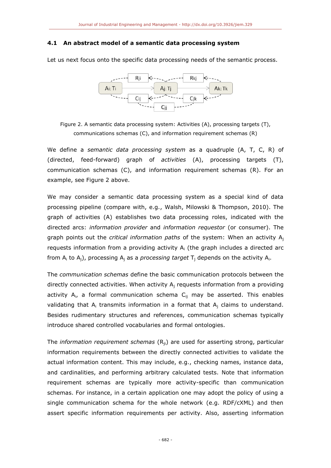#### **4.1 An abstract model of a semantic data processing system**

Let us next focus onto the specific data processing needs of the semantic process.



Figure 2. A semantic data processing system: Activities (A), processing targets (T), communications schemas (C), and information requirement schemas (R)

We define a *semantic data processing system* as a quadruple (A, T, C, R) of (directed, feed-forward) graph of *activities* (A), processing targets (T), communication schemas (C), and information requirement schemas (R). For an example, see Figure 2 above.

We may consider a semantic data processing system as a special kind of data processing pipeline (compare with, e.g., Walsh, Milowski & Thompson, 2010). The graph of activities (A) establishes two data processing roles, indicated with the directed arcs: *information provider* and *information requestor* (or consumer). The graph points out the *critical information paths* of the system: When an activity A<sup>j</sup> requests information from a providing activity  $A_i$  (the graph includes a directed arc from  $A_i$  to  $A_j$ ), processing  $A_j$  as a *processing target*  $T_j$  depends on the activity  $A_i$ .

The *communication schemas* define the basic communication protocols between the directly connected activities. When activity  $A_j$  requests information from a providing activity  $A_i$ , a formal communication schema  $C_{ii}$  may be asserted. This enables validating that  $A_i$  transmits information in a format that  $A_i$  claims to understand. Besides rudimentary structures and references, communication schemas typically introduce shared controlled vocabularies and formal ontologies.

The *information requirement schemas* (Rji) are used for asserting strong, particular information requirements between the directly connected activities to validate the actual information content. This may include, e.g., checking names, instance data, and cardinalities, and performing arbitrary calculated tests. Note that information requirement schemas are typically more activity-specific than communication schemas. For instance, in a certain application one may adopt the policy of using a single communication schema for the whole network (e.g. RDF/cXML) and then assert specific information requirements per activity. Also, asserting information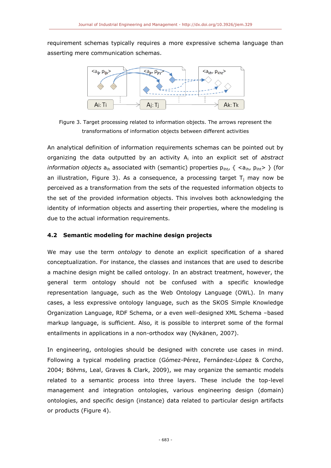requirement schemas typically requires a more expressive schema language than asserting mere communication schemas.



Figure 3. Target processing related to information objects. The arrows represent the transformations of information objects between different activities

An analytical definition of information requirements schemas can be pointed out by organizing the data outputted by an activity A<sub>i</sub> into an explicit set of abstract *information objects*  $a_{ih}$  associated with (semantic) properties  $p_{iht}$ ,  $\{ \langle a_{ih} \rangle, p_{iht} \rangle \}$  (for an illustration, Figure 3). As a consequence, a processing target  $T_i$  may now be perceived as a transformation from the sets of the requested information objects to the set of the provided information objects. This involves both acknowledging the identity of information objects and asserting their properties, where the modeling is due to the actual information requirements.

# **4.2 Semantic modeling for machine design projects**

We may use the term *ontology* to denote an explicit specification of a shared conceptualization. For instance, the classes and instances that are used to describe a machine design might be called ontology. In an abstract treatment, however, the general term ontology should not be confused with a specific knowledge representation language, such as the Web Ontology Language (OWL). In many cases, a less expressive ontology language, such as the SKOS Simple Knowledge Organization Language, RDF Schema, or a even well-designed XML Schema –based markup language, is sufficient. Also, it is possible to interpret some of the formal entailments in applications in a non-orthodox way (Nykänen, 2007).

In engineering, ontologies should be designed with concrete use cases in mind. Following a typical modeling practice (Gómez-Pérez, Fernández-López & Corcho, 2004; Böhms, Leal, Graves & Clark, 2009), we may organize the semantic models related to a semantic process into three layers. These include the top-level management and integration ontologies, various engineering design (domain) ontologies, and specific design (instance) data related to particular design artifacts or products (Figure 4).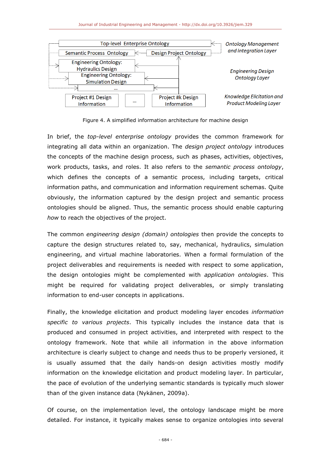

Figure 4. A simplified information architecture for machine design

In brief, the *top-level enterprise ontology* provides the common framework for integrating all data within an organization. The *design project ontology* introduces the concepts of the machine design process, such as phases, activities, objectives, work products, tasks, and roles. It also refers to the *semantic process ontology*, which defines the concepts of a semantic process, including targets, critical information paths, and communication and information requirement schemas. Quite obviously, the information captured by the design project and semantic process ontologies should be aligned. Thus, the semantic process should enable capturing *how* to reach the objectives of the project.

The common *engineering design (domain) ontologies* then provide the concepts to capture the design structures related to, say, mechanical, hydraulics, simulation engineering, and virtual machine laboratories. When a formal formulation of the project deliverables and requirements is needed with respect to some application, the design ontologies might be complemented with *application ontologies*. This might be required for validating project deliverables, or simply translating information to end-user concepts in applications.

Finally, the knowledge elicitation and product modeling layer encodes *information specific to various projects*. This typically includes the instance data that is produced and consumed in project activities, and interpreted with respect to the ontology framework. Note that while all information in the above information architecture is clearly subject to change and needs thus to be properly versioned, it is usually assumed that the daily hands-on design activities mostly modify information on the knowledge elicitation and product modeling layer. In particular, the pace of evolution of the underlying semantic standards is typically much slower than of the given instance data (Nykänen, 2009a).

Of course, on the implementation level, the ontology landscape might be more detailed. For instance, it typically makes sense to organize ontologies into several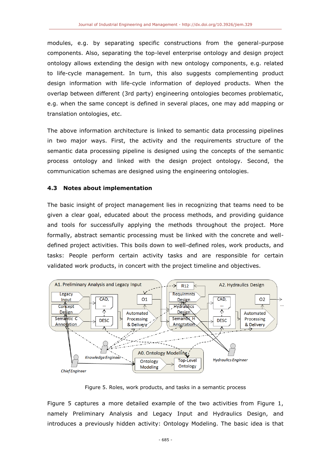modules, e.g. by separating specific constructions from the general-purpose components. Also, separating the top-level enterprise ontology and design project ontology allows extending the design with new ontology components, e.g. related to life-cycle management. In turn, this also suggests complementing product design information with life-cycle information of deployed products. When the overlap between different (3rd party) engineering ontologies becomes problematic, e.g. when the same concept is defined in several places, one may add mapping or translation ontologies, etc.

The above information architecture is linked to semantic data processing pipelines in two major ways. First, the activity and the requirements structure of the semantic data processing pipeline is designed using the concepts of the semantic process ontology and linked with the design project ontology. Second, the communication schemas are designed using the engineering ontologies.

#### **4.3 Notes about implementation**

The basic insight of project management lies in recognizing that teams need to be given a clear goal, educated about the process methods, and providing guidance and tools for successfully applying the methods throughout the project. More formally, abstract semantic processing must be linked with the concrete and welldefined project activities. This boils down to well-defined roles, work products, and tasks: People perform certain activity tasks and are responsible for certain validated work products, in concert with the project timeline and objectives.



Figure 5. Roles, work products, and tasks in a semantic process

Figure 5 captures a more detailed example of the two activities from Figure 1, namely Preliminary Analysis and Legacy Input and Hydraulics Design, and introduces a previously hidden activity: Ontology Modeling. The basic idea is that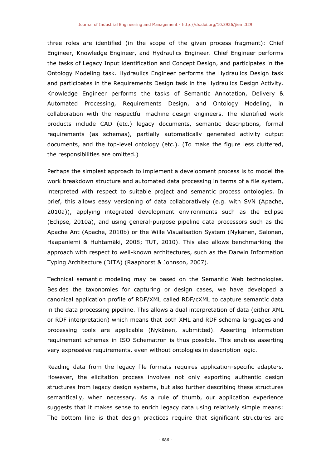three roles are identified (in the scope of the given process fragment): Chief Engineer, Knowledge Engineer, and Hydraulics Engineer. Chief Engineer performs the tasks of Legacy Input identification and Concept Design, and participates in the Ontology Modeling task. Hydraulics Engineer performs the Hydraulics Design task and participates in the Requirements Design task in the Hydraulics Design Activity. Knowledge Engineer performs the tasks of Semantic Annotation, Delivery & Automated Processing, Requirements Design, and Ontology Modeling, in collaboration with the respectful machine design engineers. The identified work products include CAD (etc.) legacy documents, semantic descriptions, formal requirements (as schemas), partially automatically generated activity output documents, and the top-level ontology (etc.). (To make the figure less cluttered, the responsibilities are omitted.)

Perhaps the simplest approach to implement a development process is to model the work breakdown structure and automated data processing in terms of a file system, interpreted with respect to suitable project and semantic process ontologies. In brief, this allows easy versioning of data collaboratively (e.g. with SVN (Apache, 2010a)), applying integrated development environments such as the Eclipse (Eclipse, 2010a), and using general-purpose pipeline data processors such as the Apache Ant (Apache, 2010b) or the Wille Visualisation System (Nykänen, Salonen, Haapaniemi & Huhtamäki, 2008; TUT, 2010). This also allows benchmarking the approach with respect to well-known architectures, such as the Darwin Information Typing Architecture (DITA) (Raaphorst & Johnson, 2007).

Technical semantic modeling may be based on the Semantic Web technologies. Besides the taxonomies for capturing or design cases, we have developed a canonical application profile of RDF/XML called RDF/cXML to capture semantic data in the data processing pipeline. This allows a dual interpretation of data (either XML or RDF interpretation) which means that both XML and RDF schema languages and processing tools are applicable (Nykänen, submitted). Asserting information requirement schemas in ISO Schematron is thus possible. This enables asserting very expressive requirements, even without ontologies in description logic.

Reading data from the legacy file formats requires application-specific adapters. However, the elicitation process involves not only exporting authentic design structures from legacy design systems, but also further describing these structures semantically, when necessary. As a rule of thumb, our application experience suggests that it makes sense to enrich legacy data using relatively simple means: The bottom line is that design practices require that significant structures are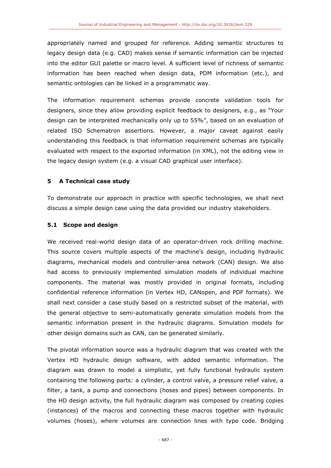appropriately named and grouped for reference. Adding semantic structures to legacy design data (e.g. CAD) makes sense if semantic information can be injected into the editor GUI palette or macro level. A sufficient level of richness of semantic information has been reached when design data, PDM information (etc.), and semantic ontologies can be linked in a programmatic way.

The information requirement schemas provide concrete validation tools for designers, since they allow providing explicit feedback to designers, e.g., as "Your design can be interpreted mechanically only up to 55%", based on an evaluation of related ISO Schematron assertions. However, a major caveat against easily understanding this feedback is that information requirement schemas are typically evaluated with respect to the exported information (in XML), not the editing view in the legacy design system (e.g. a visual CAD graphical user interface).

# **5 A Technical case study**

To demonstrate our approach in practice with specific technologies, we shall next discuss a simple design case using the data provided our industry stakeholders.

#### **5.1 Scope and design**

We received real-world design data of an operator-driven rock drilling machine. This source covers multiple aspects of the machine's design, including hydraulic diagrams, mechanical models and controller-area network (CAN) design. We also had access to previously implemented simulation models of individual machine components. The material was mostly provided in original formats, including confidential reference information (in Vertex HD, CANopen, and PDF formats). We shall next consider a case study based on a restricted subset of the material, with the general objective to semi-automatically generate simulation models from the semantic information present in the hydraulic diagrams. Simulation models for other design domains such as CAN, can be generated similarly.

The pivotal information source was a hydraulic diagram that was created with the Vertex HD hydraulic design software, with added semantic information. The diagram was drawn to model a simplistic, yet fully functional hydraulic system containing the following parts: a cylinder, a control valve, a pressure relief valve, a filter, a tank, a pump and connections (hoses and pipes) between components. In the HD design activity, the full hydraulic diagram was composed by creating copies (instances) of the macros and connecting these macros together with hydraulic volumes (hoses), where volumes are connection lines with type code. Bridging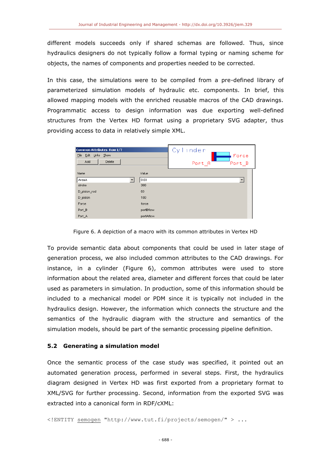different models succeeds only if shared schemas are followed. Thus, since hydraulics designers do not typically follow a formal typing or naming scheme for objects, the names of components and properties needed to be corrected.

In this case, the simulations were to be compiled from a pre-defined library of parameterized simulation models of hydraulic etc. components. In brief, this allowed mapping models with the enriched reusable macros of the CAD drawings. Programmatic access to design information was due exporting well-defined structures from the Vertex HD format using a proprietary SVG adapter, thus providing access to data in relatively simple XML.

| Common Attributes Row 1/7 |           | Cylinder                 |
|---------------------------|-----------|--------------------------|
| Edit Links Show<br>File   |           | Force                    |
| Delete<br>Add             |           | $Port_B$<br>Port_R       |
| Name                      | Value     |                          |
| AreaA                     | 0.03      | $\overline{\phantom{a}}$ |
| stroke                    | 300       |                          |
| D_piston_rod              | 63        |                          |
| D piston                  | 100       |                          |
| Force                     | force     |                          |
| Port_B                    | portBflow |                          |
| Port_A                    | portAflow |                          |

Figure 6. A depiction of a macro with its common attributes in Vertex HD

To provide semantic data about components that could be used in later stage of generation process, we also included common attributes to the CAD drawings. For instance, in a cylinder (Figure 6), common attributes were used to store information about the related area, diameter and different forces that could be later used as parameters in simulation. In production, some of this information should be included to a mechanical model or PDM since it is typically not included in the hydraulics design. However, the information which connects the structure and the semantics of the hydraulic diagram with the structure and semantics of the simulation models, should be part of the semantic processing pipeline definition.

# **5.2 Generating a simulation model**

Once the semantic process of the case study was specified, it pointed out an automated generation process, performed in several steps. First, the hydraulics diagram designed in Vertex HD was first exported from a proprietary format to XML/SVG for further processing. Second, information from the exported SVG was extracted into a canonical form in RDF/cXML:

<!ENTITY semogen "http://www.tut.fi/projects/semogen/" > ...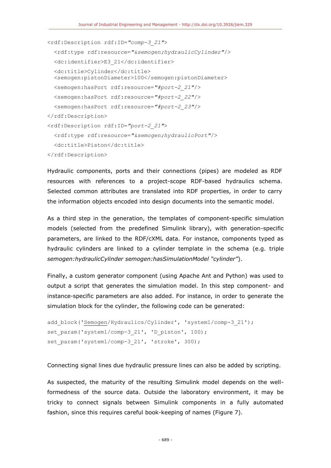```
<rdf:Description rdf:ID="comp-3_21">
  <rdf:type rdf:resource="&semogen;hydraulicCylinder"/>
  <dc:identifier>E3_21</dc:identifier>
  <dc:title>Cylinder</dc:title>
  <semogen:pistonDiameter>100</semogen:pistonDiameter>
  <semogen:hasPort rdf:resource="#port-2_21"/>
  <semogen:hasPort rdf:resource="#port-2_22"/>
  <semogen:hasPort rdf:resource="#port-2_23"/>
</rdf:Description>
<rdf:Description rdf:ID="port-2_21">
  <rdf:type rdf:resource="&semogen;hydraulicPort"/>
  <dc:title>Piston</dc:title>
</rdf:Description>
```
Hydraulic components, ports and their connections (pipes) are modeled as RDF resources with references to a project-scope RDF-based hydraulics schema. Selected common attributes are translated into RDF properties, in order to carry the information objects encoded into design documents into the semantic model.

As a third step in the generation, the templates of component-specific simulation models (selected from the predefined Simulink library), with generation-specific parameters, are linked to the RDF/cXML data. For instance, components typed as hydraulic cylinders are linked to a cylinder template in the schema (e.g. triple *semogen:hydraulicCylinder semogen:hasSimulationModel "cylinder"*).

Finally, a custom generator component (using Apache Ant and Python) was used to output a script that generates the simulation model. In this step component- and instance-specific parameters are also added. For instance, in order to generate the simulation block for the cylinder, the following code can be generated:

```
add block('Semogen/Hydraulics/Cylinder', 'system1/comp-3 21');
set_param('system1/comp-3_21', 'D_piston', 100);
set param('system1/comp-3 21', 'stroke', 300);
```
Connecting signal lines due hydraulic pressure lines can also be added by scripting.

As suspected, the maturity of the resulting Simulink model depends on the wellformedness of the source data. Outside the laboratory environment, it may be tricky to connect signals between Simulink components in a fully automated fashion, since this requires careful book-keeping of names (Figure 7).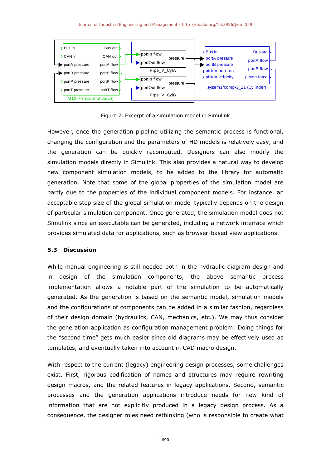

Figure 7. Excerpt of a simulation model in Simulink

However, once the generation pipeline utilizing the semantic process is functional, changing the configuration and the parameters of HD models is relatively easy, and the generation can be quickly recomputed. Designers can also modify the simulation models directly in Simulink. This also provides a natural way to develop new component simulation models, to be added to the library for automatic generation. Note that some of the global properties of the simulation model are partly due to the properties of the individual component models. For instance, an acceptable step size of the global simulation model typically depends on the design of particular simulation component. Once generated, the simulation model does not Simulink since an executable can be generated, including a network interface which provides simulated data for applications, such as browser-based view applications.

# **5.3 Discussion**

While manual engineering is still needed both in the hydraulic diagram design and in design of the simulation components, the above semantic process implementation allows a notable part of the simulation to be automatically generated. As the generation is based on the semantic model, simulation models and the configurations of components can be added in a similar fashion, regardless of their design domain (hydraulics, CAN, mechanics, etc.). We may thus consider the generation application as configuration management problem: Doing things for the "second time" gets much easier since old diagrams may be effectively used as templates, and eventually taken into account in CAD macro design.

With respect to the current (legacy) engineering design processes, some challenges exist. First, rigorous codification of names and structures may require rewriting design macros, and the related features in legacy applications. Second, semantic processes and the generation applications introduce needs for new kind of information that are not explicitly produced in a legacy design process. As a consequence, the designer roles need rethinking (who is responsible to create what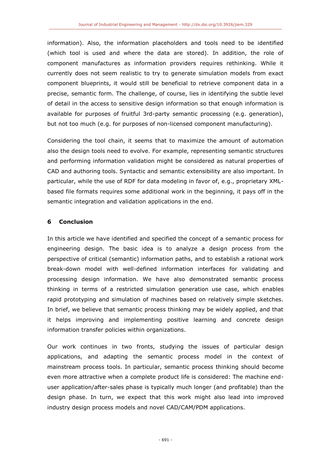information). Also, the information placeholders and tools need to be identified (which tool is used and where the data are stored). In addition, the role of component manufactures as information providers requires rethinking. While it currently does not seem realistic to try to generate simulation models from exact component blueprints, it would still be beneficial to retrieve component data in a precise, semantic form. The challenge, of course, lies in identifying the subtle level of detail in the access to sensitive design information so that enough information is available for purposes of fruitful 3rd-party semantic processing (e.g. generation), but not too much (e.g. for purposes of non-licensed component manufacturing).

Considering the tool chain, it seems that to maximize the amount of automation also the design tools need to evolve. For example, representing semantic structures and performing information validation might be considered as natural properties of CAD and authoring tools. Syntactic and semantic extensibility are also important. In particular, while the use of RDF for data modeling in favor of, e.g., proprietary XMLbased file formats requires some additional work in the beginning, it pays off in the semantic integration and validation applications in the end.

# **6 Conclusion**

In this article we have identified and specified the concept of a semantic process for engineering design. The basic idea is to analyze a design process from the perspective of critical (semantic) information paths, and to establish a rational work break-down model with well-defined information interfaces for validating and processing design information. We have also demonstrated semantic process thinking in terms of a restricted simulation generation use case, which enables rapid prototyping and simulation of machines based on relatively simple sketches. In brief, we believe that semantic process thinking may be widely applied, and that it helps improving and implementing positive learning and concrete design information transfer policies within organizations.

Our work continues in two fronts, studying the issues of particular design applications, and adapting the semantic process model in the context of mainstream process tools. In particular, semantic process thinking should become even more attractive when a complete product life is considered: The machine enduser application/after-sales phase is typically much longer (and profitable) than the design phase. In turn, we expect that this work might also lead into improved industry design process models and novel CAD/CAM/PDM applications.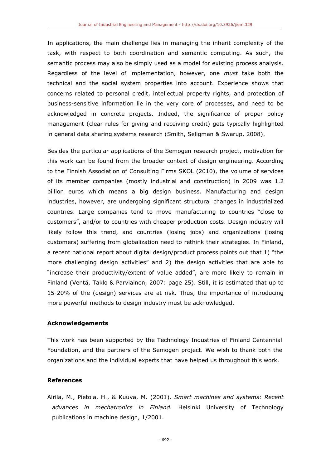In applications, the main challenge lies in managing the inherit complexity of the task, with respect to both coordination and semantic computing. As such, the semantic process may also be simply used as a model for existing process analysis. Regardless of the level of implementation, however, one *must* take both the technical and the social system properties into account. Experience shows that concerns related to personal credit, intellectual property rights, and protection of business-sensitive information lie in the very core of processes, and need to be acknowledged in concrete projects. Indeed, the significance of proper policy management (clear rules for giving and receiving credit) gets typically highlighted in general data sharing systems research (Smith, Seligman & Swarup, 2008).

Besides the particular applications of the Semogen research project, motivation for this work can be found from the broader context of design engineering. According to the Finnish Association of Consulting Firms SKOL (2010), the volume of services of its member companies (mostly industrial and construction) in 2009 was 1.2 billion euros which means a big design business. Manufacturing and design industries, however, are undergoing significant structural changes in industrialized countries. Large companies tend to move manufacturing to countries "close to customers", and/or to countries with cheaper production costs. Design industry will likely follow this trend, and countries (losing jobs) and organizations (losing customers) suffering from globalization need to rethink their strategies. In Finland, a recent national report about digital design/product process points out that 1) "the more challenging design activities" and 2) the design activities that are able to "increase their productivity/extent of value added", are more likely to remain in Finland (Ventä, Taklo & Parviainen, 2007: page 25). Still, it is estimated that up to 15-20% of the (design) services are at risk. Thus, the importance of introducing more powerful methods to design industry must be acknowledged.

#### **Acknowledgements**

This work has been supported by the Technology Industries of Finland Centennial Foundation, and the partners of the Semogen project. We wish to thank both the organizations and the individual experts that have helped us throughout this work.

#### **References**

Airila, M., Pietola, H., & Kuuva, M. (2001). *Smart machines and systems: Recent advances in mechatronics in Finland.* Helsinki University of Technology publications in machine design, 1/2001.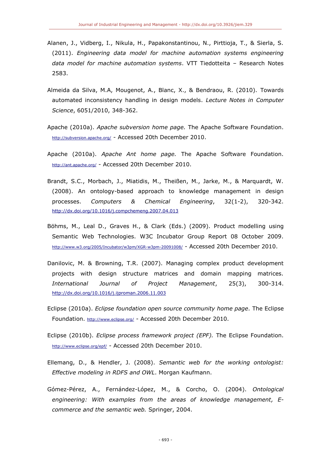- Alanen, J., Vidberg, I., Nikula, H., Papakonstantinou, N., Pirttioja, T., & Sierla, S. (2011). *Engineering data model for machine automation systems engineering data model for machine automation systems*. VTT Tiedotteita – Research Notes 2583.
- Almeida da Silva, M.A, Mougenot, A., Blanc, X., & Bendraou, R. (2010). Towards automated inconsistency handling in design models. *Lecture Notes in Computer Science*, 6051/2010, 348-362.
- Apache (2010a). *Apache subversion home page.* The Apache Software Foundation. <http://subversion.apache.org/> - Accessed 20th December 2010.
- Apache (2010a). *Apache Ant home page.* The Apache Software Foundation. <http://ant.apache.org/> - Accessed 20th December 2010.
- Brandt, S.C., Morbach, J., Miatidis, M., Theißen, M., Jarke, M., & Marquardt, W. (2008). An ontology-based approach to knowledge management in design processes. *Computers & Chemical Engineering*, 32(1-2), 320-342. <http://dx.doi.org/10.1016/j.compchemeng.2007.04.013>
- Böhms, M., Leal D., Graves H., & Clark (Eds.) (2009). Product modelling using Semantic Web Technologies. W3C Incubator Group Report 08 October 2009. <http://www.w3.org/2005/Incubator/w3pm/XGR-w3pm-20091008/> - Accessed 20th December 2010.
- Danilovic, M. & Browning, T.R. (2007). Managing complex product development projects with design structure matrices and domain mapping matrices. *International Journal of Project Management*, 25(3), 300-314. <http://dx.doi.org/10.1016/j.ijproman.2006.11.003>
- Eclipse (2010a). *Eclipse foundation open source community home page.* The Eclipse Foundation. <http://www.eclipse.org/> - Accessed 20th December 2010.
- Eclipse (2010b). *Eclipse process framework project (EPF).* The Eclipse Foundation. <http://www.eclipse.org/epf/> - Accessed 20th December 2010.
- Ellemang, D., & Hendler, J. (2008). *Semantic web for the working ontologist: Effective modeling in RDFS and OWL*. Morgan Kaufmann.
- Gómez-Pérez, A., Fernández-López, M., & Corcho, O. (2004). *Ontological engineering: With examples from the areas of knowledge management, Ecommerce and the semantic web.* Springer, 2004.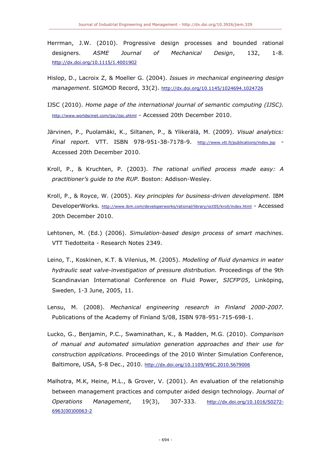- Herrman, J.W. (2010). Progressive design processes and bounded rational designers. *ASME Journal of Mechanical Design*, 132, 1-8. <http://dx.doi.org/10.1115/1.4001902>
- Hislop, D., Lacroix Z, & Moeller G. (2004). *Issues in mechanical engineering design management*. SIGMOD Record, 33(2). <http://dx.doi.org/10.1145/1024694.1024726>
- IJSC (2010). *Home page of the international journal of semantic computing (IJSC).* <http://www.worldscinet.com/ijsc/ijsc.shtml> - Accessed 20th December 2010.
- Järvinen, P., Puolamäki, K., Siltanen, P., & Ylikerälä, M. (2009). *Visual analytics: Final report.* VTT. ISBN 978-951-38-7178-9. <http://www.vtt.fi/publications/index.jsp> - Accessed 20th December 2010.
- Kroll, P., & Kruchten, P. (2003). *The rational unified process made easy: A practitioner's guide to the RUP.* Boston: Addison-Wesley.
- Kroll, P., & Royce, W. (2005). *Key principles for business-driven development.* IBM DeveloperWorks. <http://www.ibm.com/developerworks/rational/library/oct05/kroll/index.html> - Accessed 20th December 2010.
- Lehtonen, M. (Ed.) (2006). *Simulation-based design process of smart machines.* VTT Tiedotteita - Research Notes 2349.
- Leino, T., Koskinen, K.T. & Vilenius, M. (2005). *Modelling of fluid dynamics in water hydraulic seat valve-investigation of pressure distribution.* Proceedings of the 9th Scandinavian International Conference on Fluid Power, *SICFP'05*, Linköping, Sweden, 1-3 June, 2005, 11.
- Lensu, M. (2008). *Mechanical engineering research in Finland 2000-2007.* Publications of the Academy of Finland 5/08, ISBN 978-951-715-698-1.
- Lucko, G., Benjamin, P.C., Swaminathan, K., & Madden, M.G. (2010). *Comparison of manual and automated simulation generation approaches and their use for construction applications*. Proceedings of the 2010 Winter Simulation Conference, Baltimore, USA, 5-8 Dec., 2010. <http://dx.doi.org/10.1109/WSC.2010.5679006>
- Malhotra, M.K, Heine, M.L., & Grover, V. (2001). An evaluation of the relationship between management practices and computer aided design technology. *Journal of Operations Management*, 19(3), 307-333. [http://dx.doi.org/10.1016/S0272-](http://dx.doi.org/10.1016/S0272-6963(00)00063-2) [6963\(00\)00063-2](http://dx.doi.org/10.1016/S0272-6963(00)00063-2)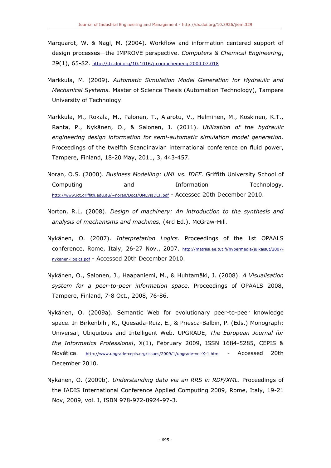- Marquardt, W. & Nagl, M. (2004). Workflow and information centered support of design processes—the IMPROVE perspective. *Computers & Chemical Engineering*, 29(1), 65-82. <http://dx.doi.org/10.1016/j.compchemeng.2004.07.018>
- Markkula, M. (2009). *Automatic Simulation Model Generation for Hydraulic and Mechanical Systems.* Master of Science Thesis (Automation Technology), Tampere University of Technology.
- Markkula, M., Rokala, M., Palonen, T., Alarotu, V., Helminen, M., Koskinen, K.T., Ranta, P., Nykänen, O., & Salonen, J. (2011). *Utilization of the hydraulic engineering design information for semi-automatic simulation model generation*. Proceedings of the twelfth Scandinavian international conference on fluid power, Tampere, Finland, 18-20 May, 2011, 3, 443-457.
- Noran, O.S. (2000). *Business Modelling: UML vs. IDEF.* Griffith University School of Computing and and Information Technology. <http://www.ict.griffith.edu.au/~noran/Docs/UMLvsIDEF.pdf> - Accessed 20th December 2010.
- Norton, R.L. (2008). *Design of machinery: An introduction to the synthesis and analysis of mechanisms and machines,* (4rd Ed.). McGraw-Hill.
- Nykänen, O. (2007). *Interpretation Logics*. Proceedings of the 1st OPAALS conference, Rome, Italy, 26-27 Nov., 2007. [http://matriisi.ee.tut.fi/hypermedia/julkaisut/2007](http://matriisi.ee.tut.fi/hypermedia/julkaisut/2007-nykanen-ilogics.pdf) [nykanen-ilogics.pdf](http://matriisi.ee.tut.fi/hypermedia/julkaisut/2007-nykanen-ilogics.pdf) - Accessed 20th December 2010.
- Nykänen, O., Salonen, J., Haapaniemi, M., & Huhtamäki, J. (2008). *A Visualisation system for a peer-to-peer information space*. Proceedings of OPAALS 2008, Tampere, Finland, 7-8 Oct., 2008, 76-86.
- Nykänen, O. (2009a). Semantic Web for evolutionary peer-to-peer knowledge space. In Birkenbihl, K., Quesada-Ruiz, E., & Priesca-Balbin, P. (Eds.) Monograph: Universal, Ubiquitous and Intelligent Web. UPGRADE, *The European Journal for the Informatics Professional*, X(1), February 2009, ISSN 1684-5285, CEPIS & Novática. <http://www.upgrade-cepis.org/issues/2009/1/upgrade-vol-X-1.html> - Accessed 20th December 2010.
- Nykänen, O. (2009b). *Understanding data via an RRS in RDF/XML*. Proceedings of the IADIS International Conference Applied Computing 2009, Rome, Italy, 19-21 Nov, 2009, vol. I, ISBN 978-972-8924-97-3.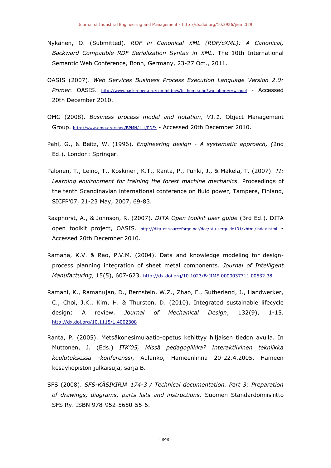- Nykänen, O. (Submitted). *RDF in Canonical XML (RDF/cXML): A Canonical, Backward Compatible RDF Serialization Syntax in XML*. The 10th International Semantic Web Conference, Bonn, Germany, 23-27 Oct., 2011.
- OASIS (2007). *Web Services Business Process Execution Language Version 2.0: Primer.* OASIS. [http://www.oasis-open.org/committees/tc\\_home.php?wg\\_abbrev=wsbpel](http://www.oasis-open.org/committees/tc_home.php?wg_abbrev=wsbpel) - Accessed 20th December 2010.
- OMG (2008). *Business process model and notation, V1.1.* Object Management Group. <http://www.omg.org/spec/BPMN/1.1/PDF/> - Accessed 20th December 2010.
- Pahl, G., & Beitz, W. (1996). *Engineering design - A systematic approach, (*2nd Ed.). London: Springer.
- Palonen, T., Leino, T., Koskinen, K.T., Ranta, P., Punki, J., & Mäkelä, T. (2007). *TI: Learning environment for training the forest machine mechanics.* Proceedings of the tenth Scandinavian international conference on fluid power, Tampere, Finland, SICFP'07, 21-23 May, 2007, 69-83.
- Raaphorst, A., & Johnson, R. (2007). *DITA Open toolkit user guide* (3rd Ed.). DITA open toolkit project, OASIS. <http://dita-ot.sourceforge.net/doc/ot-userguide131/xhtml/index.html> - Accessed 20th December 2010.
- Ramana, K.V. & Rao, P.V.M. (2004). Data and knowledge modeling for designprocess planning integration of sheet metal components. *Journal of Intelligent Manufacturing*, 15(5), 607-623. <http://dx.doi.org/10.1023/B:JIMS.0000037711.00532.38>
- Ramani, K., Ramanujan, D., Bernstein, W.Z., Zhao, F., Sutherland, J., Handwerker, C., Choi, J.K., Kim, H. & Thurston, D. (2010). Integrated sustainable lifecycle design: A review. *Journal of Mechanical Design*, 132(9), 1-15. <http://dx.doi.org/10.1115/1.4002308>
- Ranta, P. (2005). Metsäkonesimulaatio-opetus kehittyy hiljaisen tiedon avulla. In Muttonen, J. (Eds.) *ITK'05, Missä pedagogiikka? Interaktiivinen tekniikka koulutuksessa -konferenssi*, Aulanko, Hämeenlinna 20-22.4.2005. Hämeen kesäyliopiston julkaisuja, sarja B.
- SFS (2008). *SFS-KÄSIKIRJA 174-3 / Technical documentation. Part 3: Preparation of drawings, diagrams, parts lists and instructions.* Suomen Standardoimisliitto SFS Ry. ISBN 978-952-5650-55-6.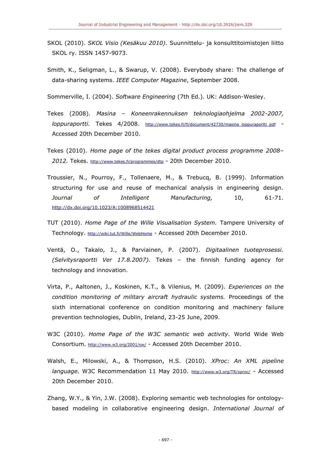- SKOL (2010). *SKOL Visio (Kesäkuu 2010).* Suunnittelu- ja konsulttitoimistojen liitto SKOL ry. ISSN 1457-9073.
- Smith, K., Seligman, L., & Swarup, V. (2008). Everybody share: The challenge of data-sharing systems. *IEEE Computer Magazine*, September 2008.

Sommerville, I. (2004). *Software Engineering* (7th Ed.). UK: Addison-Wesley.

- Tekes (2008). *Masina – Koneenrakennuksen teknologiaohjelma 2002-2007, loppuraportti.* Tekes 4/2008. [http://www.tekes.fi/fi/document/42730/masina\\_loppuraportti\\_pdf](http://www.tekes.fi/fi/document/42730/masina_loppuraportti_pdf) -Accessed 20th December 2010.
- Tekes (2010). *Home page of the tekes digital product process programme 2008–* 2012. Tekes. <http://www.tekes.fi/programmes/dtp> - 20th December 2010.
- Troussier, N., Pourroy, F., Tollenaere, M., & Trebucq, B. (1999). Information structuring for use and reuse of mechanical analysis in engineering design. *Journal of Intelligent Manufacturing,* 10, 61-71. <http://dx.doi.org/10.1023/A:1008968514421>
- TUT (2010). *Home Page of the Wille Visualisation System.* Tampere University of Technology. <http://wiki.tut.fi/Wille/WebHome> - Accessed 20th December 2010.
- Ventä, O., Takalo, J., & Parviainen, P. (2007). *Digitaalinen tuoteprosessi. (Selvitysraportti Ver 17.8.2007).* Tekes – the finnish funding agency for technology and innovation.
- Virta, P., Aaltonen, J., Koskinen, K.T., & Vilenius, M. (2009). *Experiences on the condition monitoring of military aircraft hydraulic systems.* Proceedings of the sixth international conference on condition monitoring and machinery failure prevention technologies, Dublin, Ireland, 23-25 June, 2009.
- W3C (2010). *Home Page of the W3C semantic web activity.* World Wide Web Consortium. <http://www.w3.org/2001/sw/> - Accessed 20th December 2010.
- Walsh, E., Milowski, A., & Thompson, H.S. (2010). *XProc: An XML pipeline*  language. W3C Recommendation 11 May 2010. <http://www.w3.org/TR/xproc/> - Accessed 20th December 2010.
- Zhang, W.Y., & Yin, J.W. (2008). Exploring semantic web technologies for ontologybased modeling in collaborative engineering design. *International Journal of*